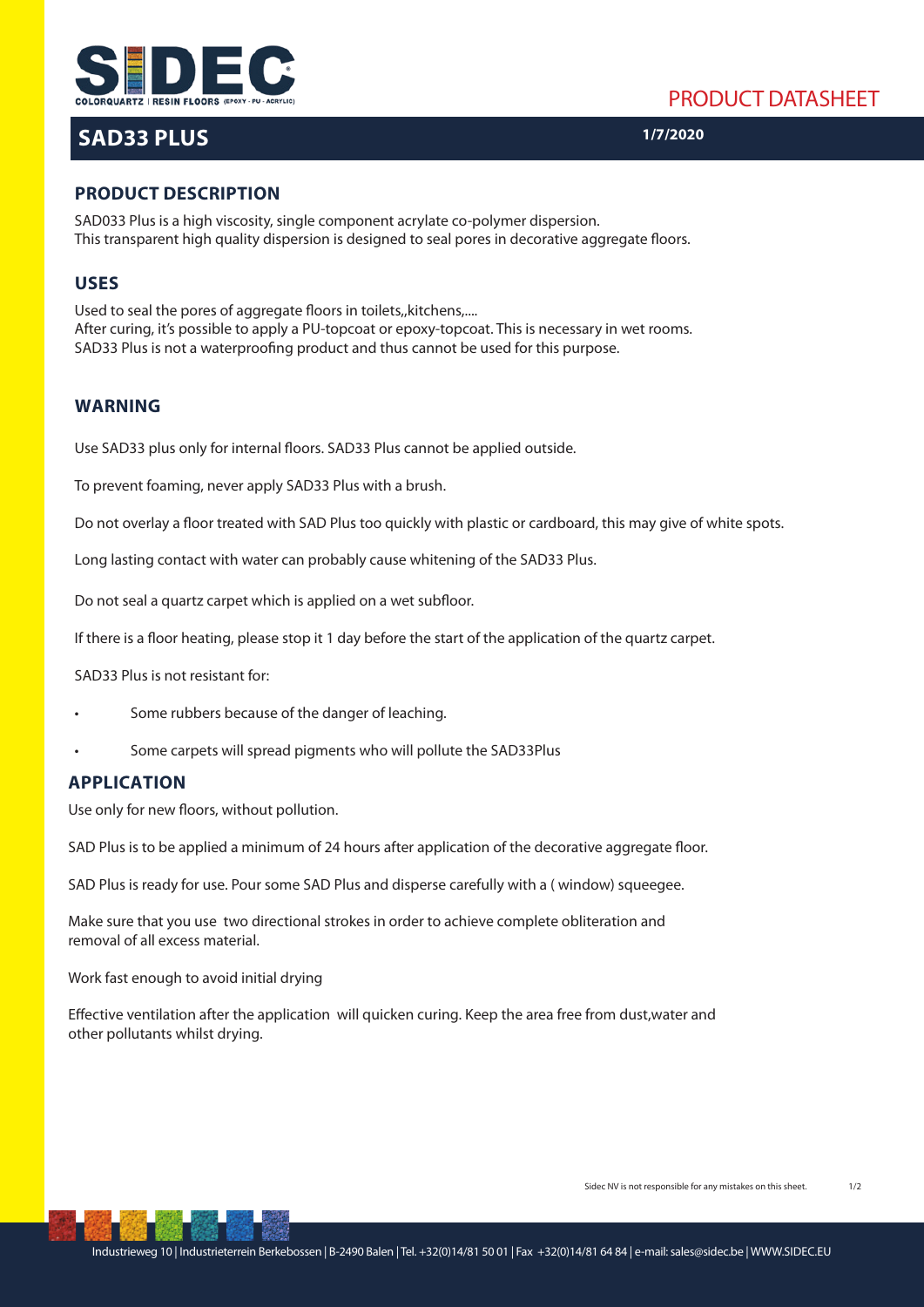



# **SAD33 PLUS**

**1/7/2020**

## **PRODUCT DESCRIPTION**

SAD033 Plus is a high viscosity, single component acrylate co-polymer dispersion. This transparent high quality dispersion is designed to seal pores in decorative aggregate floors.

### **USES**

Used to seal the pores of aggregate floors in toilets, kitchens,.... After curing, it's possible to apply a PU-topcoat or epoxy-topcoat. This is necessary in wet rooms. SAD33 Plus is not a waterproofing product and thus cannot be used for this purpose.

### **WARNING**

Use SAD33 plus only for internal floors. SAD33 Plus cannot be applied outside.

To prevent foaming, never apply SAD33 Plus with a brush.

Do not overlay a floor treated with SAD Plus too quickly with plastic or cardboard, this may give of white spots.

Long lasting contact with water can probably cause whitening of the SAD33 Plus.

Do not seal a quartz carpet which is applied on a wet subfloor.

If there is a floor heating, please stop it 1 day before the start of the application of the quartz carpet.

SAD33 Plus is not resistant for:

- Some rubbers because of the danger of leaching.
- Some carpets will spread pigments who will pollute the SAD33Plus

## **APPLICATION**

Use only for new floors, without pollution.

SAD Plus is to be applied a minimum of 24 hours after application of the decorative aggregate floor.

SAD Plus is ready for use. Pour some SAD Plus and disperse carefully with a ( window) squeegee.

Make sure that you use two directional strokes in order to achieve complete obliteration and removal of all excess material.

Work fast enough to avoid initial drying

Effective ventilation after the application will quicken curing. Keep the area free from dust,water and other pollutants whilst drying.